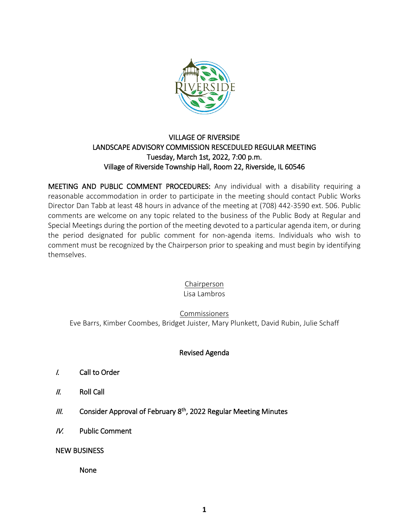

## VILLAGE OF RIVERSIDE LANDSCAPE ADVISORY COMMISSION RESCEDULED REGULAR MEETING Tuesday, March 1st, 2022, 7:00 p.m. Village of Riverside Township Hall, Room 22, Riverside, IL 60546

MEETING AND PUBLIC COMMENT PROCEDURES: Any individual with a disability requiring a reasonable accommodation in order to participate in the meeting should contact Public Works Director Dan Tabb at least 48 hours in advance of the meeting at (708) 442-3590 ext. 506. Public comments are welcome on any topic related to the business of the Public Body at Regular and Special Meetings during the portion of the meeting devoted to a particular agenda item, or during the period designated for public comment for non-agenda items. Individuals who wish to comment must be recognized by the Chairperson prior to speaking and must begin by identifying themselves.

> Chairperson Lisa Lambros

Commissioners

Eve Barrs, Kimber Coombes, Bridget Juister, Mary Plunkett, David Rubin, Julie Schaff

# Revised Agenda

- I. Call to Order
- II. Roll Call
- $III.$  Consider Approval of February 8<sup>th</sup>, 2022 Regular Meeting Minutes
- IV. Public Comment

#### NEW BUSINESS

None